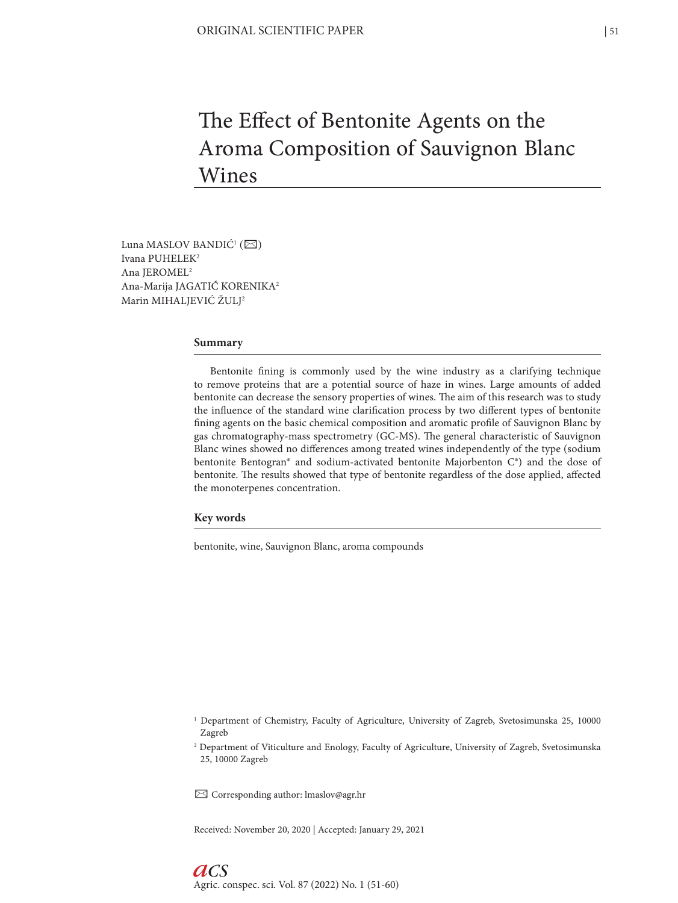# The Effect of Bentonite Agents on the Aroma Composition of Sauvignon Blanc Wines

Luna MASLOV BANDIĆ<sup>1</sup> ( $\boxtimes$ ) Ivana PUHELEK2 Ana JEROMEL2 Ana-Marija JAGATIĆ KORENIKA2 Marin MIHALJEVIĆ ŽULJ2

#### **Summary**

Bentonite fining is commonly used by the wine industry as a clarifying technique to remove proteins that are a potential source of haze in wines. Large amounts of added bentonite can decrease the sensory properties of wines. The aim of this research was to study the influence of the standard wine clarification process by two different types of bentonite fining agents on the basic chemical composition and aromatic profile of Sauvignon Blanc by gas chromatography-mass spectrometry (GC-MS). The general characteristic of Sauvignon Blanc wines showed no differences among treated wines independently of the type (sodium bentonite Bentogran® and sodium-activated bentonite Majorbenton C®) and the dose of bentonite. The results showed that type of bentonite regardless of the dose applied, affected the monoterpenes concentration.

## **Key words**

bentonite, wine, Sauvignon Blanc, aroma compounds

✉ Corresponding author: lmaslov@agr.hr

Received: November 20, 2020 | Accepted: January 29, 2021

<sup>1</sup> Department of Chemistry, Faculty of Agriculture, University of Zagreb, Svetosimunska 25, 10000 Zagreb

<sup>2</sup> Department of Viticulture and Enology, Faculty of Agriculture, University of Zagreb, Svetosimunska 25, 10000 Zagreb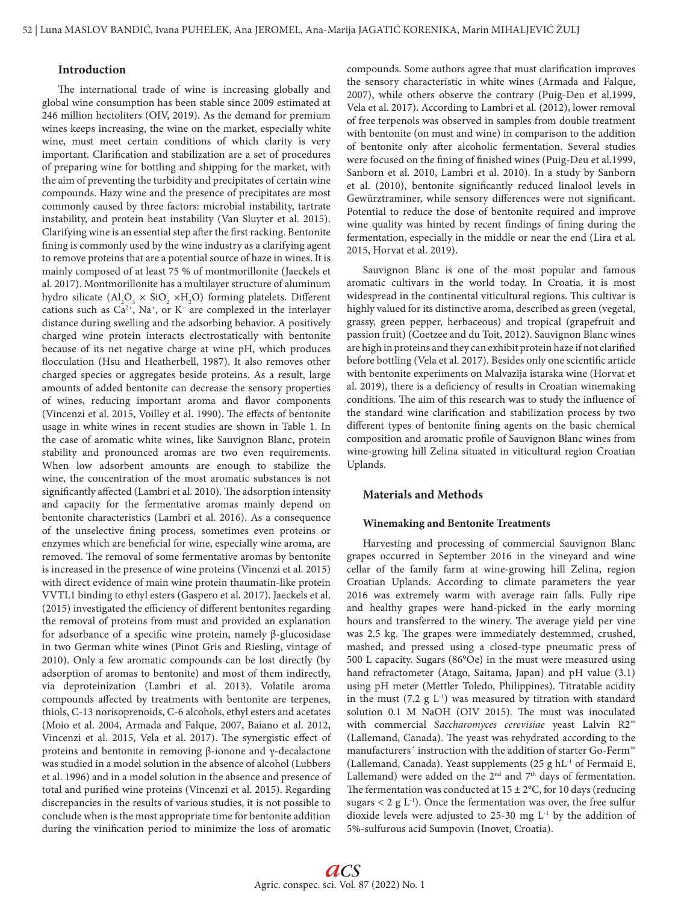## **Introduction**

The international trade of wine is increasing globally and global wine consumption has been stable since 2009 estimated at 246 million hectoliters (OIV, 2019). As the demand for premium wines keeps increasing, the wine on the market, especially white wine, must meet certain conditions of which clarity is very important. Clarification and stabilization are a set of procedures of preparing wine for bottling and shipping for the market, with the aim of preventing the turbidity and precipitates of certain wine compounds. Hazy wine and the presence of precipitates are most commonly caused by three factors: microbial instability, tartrate instability, and protein heat instability (Van Sluyter et al. 2015). Clarifying wine is an essential step after the first racking. Bentonite fining is commonly used by the wine industry as a clarifying agent to remove proteins that are a potential source of haze in wines. It is mainly composed of at least 75 % of montmorillonite (Jaeckels et al. 2017). Montmorillonite has a multilayer structure of aluminum hydro silicate  $\left( \text{Al}_2\text{O}_3 \times \text{SiO}_2 \times \text{H}_2\text{O} \right)$  forming platelets. Different cations such as  $Ca^{2+}$ , Na<sup>+</sup>, or K<sup>+</sup> are complexed in the interlayer distance during swelling and the adsorbing behavior. A positively charged wine protein interacts electrostatically with bentonite because of its net negative charge at wine pH, which produces flocculation (Hsu and Heatherbell, 1987). It also removes other charged species or aggregates beside proteins. As a result, large amounts of added bentonite can decrease the sensory properties of wines, reducing important aroma and flavor components (Vincenzi et al. 2015, Voilley et al. 1990). The effects of bentonite usage in white wines in recent studies are shown in Table 1. In the case of aromatic white wines, like Sauvignon Blanc, protein stability and pronounced aromas are two even requirements. When low adsorbent amounts are enough to stabilize the wine, the concentration of the most aromatic substances is not significantly affected (Lambri et al. 2010). The adsorption intensity and capacity for the fermentative aromas mainly depend on bentonite characteristics (Lambri et al. 2016). As a consequence of the unselective fining process, sometimes even proteins or enzymes which are beneficial for wine, especially wine aroma, are removed. The removal of some fermentative aromas by bentonite is increased in the presence of wine proteins (Vincenzi et al. 2015) with direct evidence of main wine protein thaumatin-like protein VVTL1 binding to ethyl esters (Gaspero et al. 2017). Jaeckels et al. (2015) investigated the efficiency of different bentonites regarding the removal of proteins from must and provided an explanation for adsorbance of a specific wine protein, namely β-glucosidase in two German white wines (Pinot Gris and Riesling, vintage of 2010). Only a few aromatic compounds can be lost directly (by adsorption of aromas to bentonite) and most of them indirectly, via deproteinization (Lambri et al. 2013). Volatile aroma compounds affected by treatments with bentonite are terpenes, thiols, C-13 norisoprenoids, C-6 alcohols, ethyl esters and acetates (Moio et al. 2004, Armada and Falque, 2007, Baiano et al. 2012, Vincenzi et al. 2015, Vela et al. 2017). The synergistic effect of proteins and bentonite in removing β-ionone and γ-decalactone was studied in a model solution in the absence of alcohol (Lubbers et al. 1996) and in a model solution in the absence and presence of total and purified wine proteins (Vincenzi et al. 2015). Regarding discrepancies in the results of various studies, it is not possible to conclude when is the most appropriate time for bentonite addition during the vinification period to minimize the loss of aromatic

compounds. Some authors agree that must clarification improves the sensory characteristic in white wines (Armada and Falque, 2007), while others observe the contrary (Puig-Deu et al.1999, Vela et al. 2017). According to Lambri et al. (2012), lower removal of free terpenols was observed in samples from double treatment with bentonite (on must and wine) in comparison to the addition of bentonite only after alcoholic fermentation. Several studies were focused on the fining of finished wines (Puig-Deu et al.1999, Sanborn et al. 2010, Lambri et al. 2010). In a study by Sanborn et al. (2010), bentonite significantly reduced linalool levels in Gewürztraminer, while sensory differences were not significant. Potential to reduce the dose of bentonite required and improve wine quality was hinted by recent findings of fining during the fermentation, especially in the middle or near the end (Lira et al. 2015, Horvat et al. 2019).

Sauvignon Blanc is one of the most popular and famous aromatic cultivars in the world today. In Croatia, it is most widespread in the continental viticultural regions. This cultivar is highly valued for its distinctive aroma, described as green (vegetal, grassy, green pepper, herbaceous) and tropical (grapefruit and passion fruit) (Coetzee and du Toit, 2012). Sauvignon Blanc wines are high in proteins and they can exhibit protein haze if not clarified before bottling (Vela et al. 2017). Besides only one scientific article with bentonite experiments on Malvazija istarska wine (Horvat et al. 2019), there is a deficiency of results in Croatian winemaking conditions. The aim of this research was to study the influence of the standard wine clarification and stabilization process by two different types of bentonite fining agents on the basic chemical composition and aromatic profile of Sauvignon Blanc wines from wine-growing hill Zelina situated in viticultural region Croatian Uplands.

# **Materials and Methods**

## **Winemaking and Bentonite Treatments**

Harvesting and processing of commercial Sauvignon Blanc grapes occurred in September 2016 in the vineyard and wine cellar of the family farm at wine-growing hill Zelina, region Croatian Uplands. According to climate parameters the year 2016 was extremely warm with average rain falls. Fully ripe and healthy grapes were hand-picked in the early morning hours and transferred to the winery. The average yield per vine was 2.5 kg. The grapes were immediately destemmed, crushed, mashed, and pressed using a closed-type pneumatic press of 500 L capacity. Sugars (86°Oe) in the must were measured using hand refractometer (Atago, Saitama, Japan) and pH value (3.1) using pH meter (Mettler Toledo, Philippines). Titratable acidity in the must (7.2 g  $L^{-1}$ ) was measured by titration with standard solution 0.1 M NaOH (OIV 2015). The must was inoculated with commercial *Saccharomyces cerevisiae* yeast Lalvin R2™ (Lallemand, Canada). The yeast was rehydrated according to the manufacturers<sup>′</sup> instruction with the addition of starter Go-Ferm™ (Lallemand, Canada). Yeast supplements  $(25 \text{ g} \text{ hL}^{-1} \text{ of } \text{Fermaid E})$ , Lallemand) were added on the  $2<sup>nd</sup>$  and  $7<sup>th</sup>$  days of fermentation. The fermentation was conducted at  $15 \pm 2$ °C, for 10 days (reducing sugars  $\langle 2 g L^{-1} \rangle$ . Once the fermentation was over, the free sulfur dioxide levels were adjusted to 25-30 mg  $L<sup>-1</sup>$  by the addition of 5%-sulfurous acid Sumpovin (Inovet, Croatia).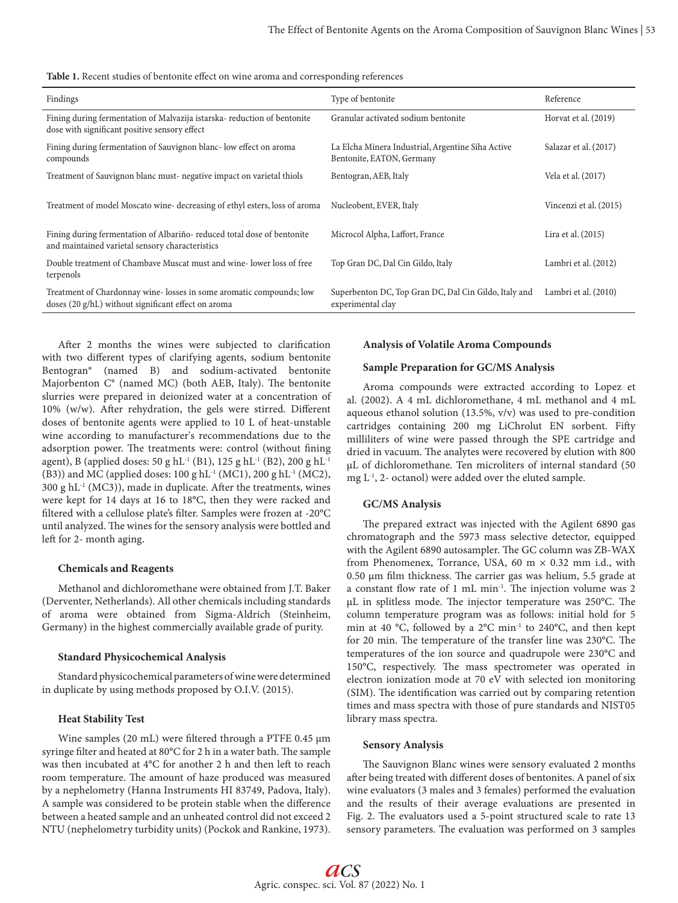| Table 1. Recent studies of bentonite effect on wine aroma and corresponding references |  |  |
|----------------------------------------------------------------------------------------|--|--|
|----------------------------------------------------------------------------------------|--|--|

| Findings                                                                                                                   | Type of bentonite                                                              | Reference              |
|----------------------------------------------------------------------------------------------------------------------------|--------------------------------------------------------------------------------|------------------------|
| Fining during fermentation of Malvazija istarska-reduction of bentonite<br>dose with significant positive sensory effect   | Granular activated sodium bentonite                                            | Horvat et al. (2019)   |
| Fining during fermentation of Sauvignon blanc-low effect on aroma<br>compounds                                             | La Elcha Minera Industrial, Argentine Siha Active<br>Bentonite, EATON, Germany | Salazar et al. (2017)  |
| Treatment of Sauvignon blanc must- negative impact on varietal thiols                                                      | Bentogran, AEB, Italy                                                          | Vela et al. (2017)     |
| Treatment of model Moscato wine-decreasing of ethyl esters, loss of aroma                                                  | Nucleobent, EVER, Italy                                                        | Vincenzi et al. (2015) |
| Fining during fermentation of Albariño-reduced total dose of bentonite<br>and maintained varietal sensory characteristics  | Microcol Alpha, Laffort, France                                                | Lira et al. (2015)     |
| Double treatment of Chambave Muscat must and wine-lower loss of free<br>terpenols                                          | Top Gran DC, Dal Cin Gildo, Italy                                              | Lambri et al. (2012)   |
| Treatment of Chardonnay wine-losses in some aromatic compounds; low<br>doses (20 g/hL) without significant effect on aroma | Superbenton DC, Top Gran DC, Dal Cin Gildo, Italy and<br>experimental clay     | Lambri et al. (2010)   |

After 2 months the wines were subjected to clarification with two different types of clarifying agents, sodium bentonite Bentogran® (named B) and sodium-activated bentonite Majorbenton C® (named MC) (both AEB, Italy). The bentonite slurries were prepared in deionized water at a concentration of 10% (w/w). After rehydration, the gels were stirred. Different doses of bentonite agents were applied to 10 L of heat-unstable wine according to manufacturer's recommendations due to the adsorption power. The treatments were: control (without fining agent), B (applied doses: 50 g hL<sup>-1</sup> (B1), 125 g hL<sup>-1</sup> (B2), 200 g hL<sup>-1</sup> (B3)) and MC (applied doses: 100 g hL-1 (MC1), 200 g hL-1 (MC2),  $300 \text{ g} \text{ hL}^{-1}$  (MC3)), made in duplicate. After the treatments, wines were kept for 14 days at 16 to 18°C, then they were racked and filtered with a cellulose plate's filter. Samples were frozen at -20°C until analyzed. The wines for the sensory analysis were bottled and left for 2- month aging.

## **Chemicals and Reagents**

Methanol and dichloromethane were obtained from J.T. Baker (Derventer, Netherlands). All other chemicals including standards of aroma were obtained from Sigma-Aldrich (Steinheim, Germany) in the highest commercially available grade of purity.

#### **Standard Physicochemical Analysis**

Standard physicochemical parameters of wine were determined in duplicate by using methods proposed by O.I.V. (2015).

#### **Heat Stability Test**

Wine samples (20 mL) were filtered through a PTFE 0.45 µm syringe filter and heated at 80°C for 2 h in a water bath. The sample was then incubated at 4°C for another 2 h and then left to reach room temperature. The amount of haze produced was measured by a nephelometry (Hanna Instruments HI 83749, Padova, Italy). A sample was considered to be protein stable when the difference between a heated sample and an unheated control did not exceed 2 NTU (nephelometry turbidity units) (Pockok and Rankine, 1973).

## **Analysis of Volatile Aroma Compounds**

## **Sample Preparation for GC/MS Analysis**

Aroma compounds were extracted according to Lopez et al. (2002). A 4 mL dichloromethane, 4 mL methanol and 4 mL aqueous ethanol solution (13.5%, v/v) was used to pre-condition cartridges containing 200 mg LiChrolut EN sorbent. Fifty milliliters of wine were passed through the SPE cartridge and dried in vacuum. The analytes were recovered by elution with 800 μL of dichloromethane. Ten microliters of internal standard (50 mg  $L^{-1}$ , 2- octanol) were added over the eluted sample.

#### **GC/MS Analysis**

The prepared extract was injected with the Agilent 6890 gas chromatograph and the 5973 mass selective detector, equipped with the Agilent 6890 autosampler. The GC column was ZB-WAX from Phenomenex, Torrance, USA, 60 m  $\times$  0.32 mm i.d., with 0.50 μm film thickness. The carrier gas was helium, 5.5 grade at a constant flow rate of 1 mL min-1. The injection volume was 2 μL in splitless mode. The injector temperature was 250°C. The column temperature program was as follows: initial hold for 5 min at 40 °C, followed by a 2°C min-1 to 240°C, and then kept for 20 min. The temperature of the transfer line was 230°C. The temperatures of the ion source and quadrupole were 230°C and 150°C, respectively. The mass spectrometer was operated in electron ionization mode at 70 eV with selected ion monitoring (SIM). The identification was carried out by comparing retention times and mass spectra with those of pure standards and NIST05 library mass spectra.

#### **Sensory Analysis**

The Sauvignon Blanc wines were sensory evaluated 2 months after being treated with different doses of bentonites. A panel of six wine evaluators (3 males and 3 females) performed the evaluation and the results of their average evaluations are presented in Fig. 2. The evaluators used a 5-point structured scale to rate 13 sensory parameters. The evaluation was performed on 3 samples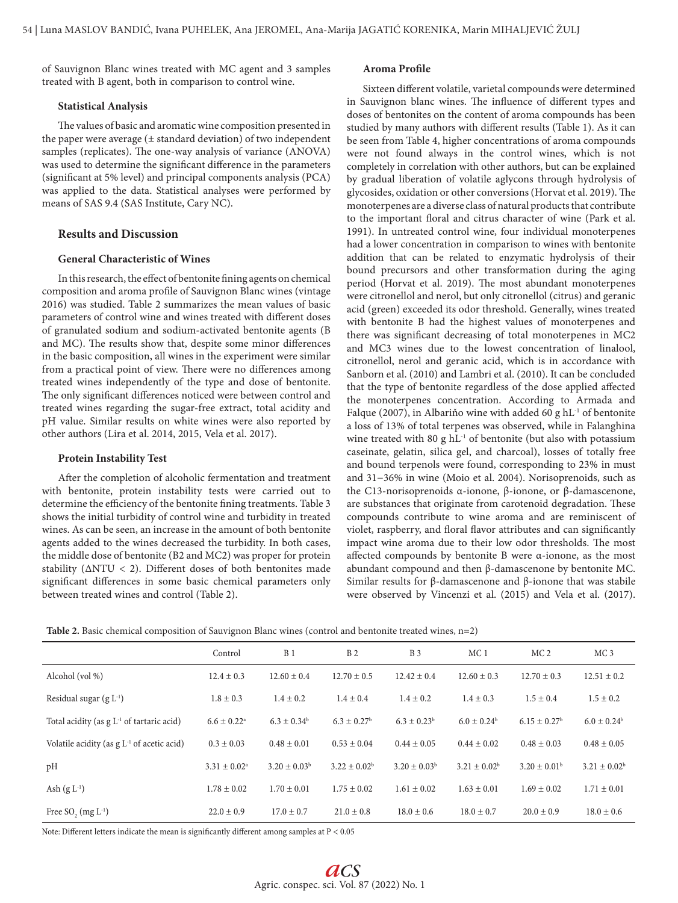of Sauvignon Blanc wines treated with MC agent and 3 samples treated with B agent, both in comparison to control wine.

#### **Statistical Analysis**

The values of basic and aromatic wine composition presented in the paper were average (± standard deviation) of two independent samples (replicates). The one-way analysis of variance (ANOVA) was used to determine the significant difference in the parameters (significant at 5% level) and principal components analysis (PCA) was applied to the data. Statistical analyses were performed by means of SAS 9.4 (SAS Institute, Cary NC).

## **Results and Discussion**

## **General Characteristic of Wines**

In this research, the effect of bentonite fining agents on chemical composition and aroma profile of Sauvignon Blanc wines (vintage 2016) was studied. Table 2 summarizes the mean values of basic parameters of control wine and wines treated with different doses of granulated sodium and sodium-activated bentonite agents (B and MC). The results show that, despite some minor differences in the basic composition, all wines in the experiment were similar from a practical point of view. There were no differences among treated wines independently of the type and dose of bentonite. The only significant differences noticed were between control and treated wines regarding the sugar-free extract, total acidity and pH value. Similar results on white wines were also reported by other authors (Lira et al. 2014, 2015, Vela et al. 2017).

## **Protein Instability Test**

After the completion of alcoholic fermentation and treatment with bentonite, protein instability tests were carried out to determine the efficiency of the bentonite fining treatments. Table 3 shows the initial turbidity of control wine and turbidity in treated wines. As can be seen, an increase in the amount of both bentonite agents added to the wines decreased the turbidity. In both cases, the middle dose of bentonite (B2 and MC2) was proper for protein stability (ΔNTU < 2). Different doses of both bentonites made significant differences in some basic chemical parameters only between treated wines and control (Table 2).

## **Aroma Profile**

Sixteen different volatile, varietal compounds were determined in Sauvignon blanc wines. The influence of different types and doses of bentonites on the content of aroma compounds has been studied by many authors with different results (Table 1). As it can be seen from Table 4, higher concentrations of aroma compounds were not found always in the control wines, which is not completely in correlation with other authors, but can be explained by gradual liberation of volatile aglycons through hydrolysis of glycosides, oxidation or other conversions (Horvat et al. 2019). The monoterpenes are a diverse class of natural products that contribute to the important floral and citrus character of wine (Park et al. 1991). In untreated control wine, four individual monoterpenes had a lower concentration in comparison to wines with bentonite addition that can be related to enzymatic hydrolysis of their bound precursors and other transformation during the aging period (Horvat et al. 2019). The most abundant monoterpenes were citronellol and nerol, but only citronellol (citrus) and geranic acid (green) exceeded its odor threshold. Generally, wines treated with bentonite B had the highest values of monoterpenes and there was significant decreasing of total monoterpenes in MC2 and MC3 wines due to the lowest concentration of linalool, citronellol, nerol and geranic acid, which is in accordance with Sanborn et al. (2010) and Lambri et al. (2010). It can be concluded that the type of bentonite regardless of the dose applied affected the monoterpenes concentration. According to Armada and Falque (2007), in Albariňo wine with added 60 g hL<sup>-1</sup> of bentonite a loss of 13% of total terpenes was observed, while in Falanghina wine treated with 80 g  $hL^{-1}$  of bentonite (but also with potassium caseinate, gelatin, silica gel, and charcoal), losses of totally free and bound terpenols were found, corresponding to 23% in must and 31−36% in wine (Moio et al. 2004). Norisoprenoids, such as the C13-norisoprenoids α-ionone, β-ionone, or β-damascenone, are substances that originate from carotenoid degradation. These compounds contribute to wine aroma and are reminiscent of violet, raspberry, and floral flavor attributes and can significantly impact wine aroma due to their low odor thresholds. The most affected compounds by bentonite B were α-ionone, as the most abundant compound and then β-damascenone by bentonite MC. Similar results for β-damascenone and β-ionone that was stabile were observed by Vincenzi et al. (2015) and Vela et al. (2017).

| <b>Table 2.</b> Basic chemical composition of Sauvignon Blanc wines (control and bentonite treated wines, $n=2$ ) |  |  |  |  |  |
|-------------------------------------------------------------------------------------------------------------------|--|--|--|--|--|
|-------------------------------------------------------------------------------------------------------------------|--|--|--|--|--|

|                                              | Control                     | B <sub>1</sub>    | B <sub>2</sub>         | <b>B</b> 3        | MC <sub>1</sub>   | MC <sub>2</sub>   | MC <sub>3</sub>   |
|----------------------------------------------|-----------------------------|-------------------|------------------------|-------------------|-------------------|-------------------|-------------------|
| Alcohol (vol %)                              | $12.4 \pm 0.3$              | $12.60 \pm 0.4$   | $12.70 \pm 0.5$        | $12.42 \pm 0.4$   | $12.60 \pm 0.3$   | $12.70 \pm 0.3$   | $12.51 \pm 0.2$   |
| Residual sugar $(g L^{-1})$                  | $1.8 \pm 0.3$               | $1.4 \pm 0.2$     | $1.4 \pm 0.4$          | $1.4 \pm 0.2$     | $1.4 \pm 0.3$     | $1.5 \pm 0.4$     | $1.5 \pm 0.2$     |
| Total acidity (as $g L-1$ of tartaric acid)  | $6.6 \pm 0.22$ <sup>a</sup> | $6.3 \pm 0.34^b$  | $6.3 \pm 0.27^{\rm b}$ | $6.3 \pm 0.23^b$  | $6.0 \pm 0.24^b$  | $6.15 \pm 0.27^b$ | $6.0 \pm 0.24^b$  |
| Volatile acidity (as $g L-1$ of acetic acid) | $0.3 \pm 0.03$              | $0.48 \pm 0.01$   | $0.53 \pm 0.04$        | $0.44 \pm 0.05$   | $0.44 \pm 0.02$   | $0.48 \pm 0.03$   | $0.48 \pm 0.05$   |
| pH                                           | $3.31 \pm 0.02^a$           | $3.20 \pm 0.03^b$ | $3.22 \pm 0.02^b$      | $3.20 \pm 0.03^b$ | $3.21 \pm 0.02^b$ | $3.20 \pm 0.01^b$ | $3.21 \pm 0.02^b$ |
| Ash $(g L^{-1})$                             | $1.78 \pm 0.02$             | $1.70 \pm 0.01$   | $1.75 \pm 0.02$        | $1.61 \pm 0.02$   | $1.63 \pm 0.01$   | $1.69 \pm 0.02$   | $1.71 \pm 0.01$   |
| Free SO <sub>2</sub> (mg $L^{-1}$ )          | $22.0 \pm 0.9$              | $17.0 \pm 0.7$    | $21.0 \pm 0.8$         | $18.0 \pm 0.6$    | $18.0 \pm 0.7$    | $20.0 \pm 0.9$    | $18.0 \pm 0.6$    |

Note: Different letters indicate the mean is significantly different among samples at  $\mathrm{P} < 0.05$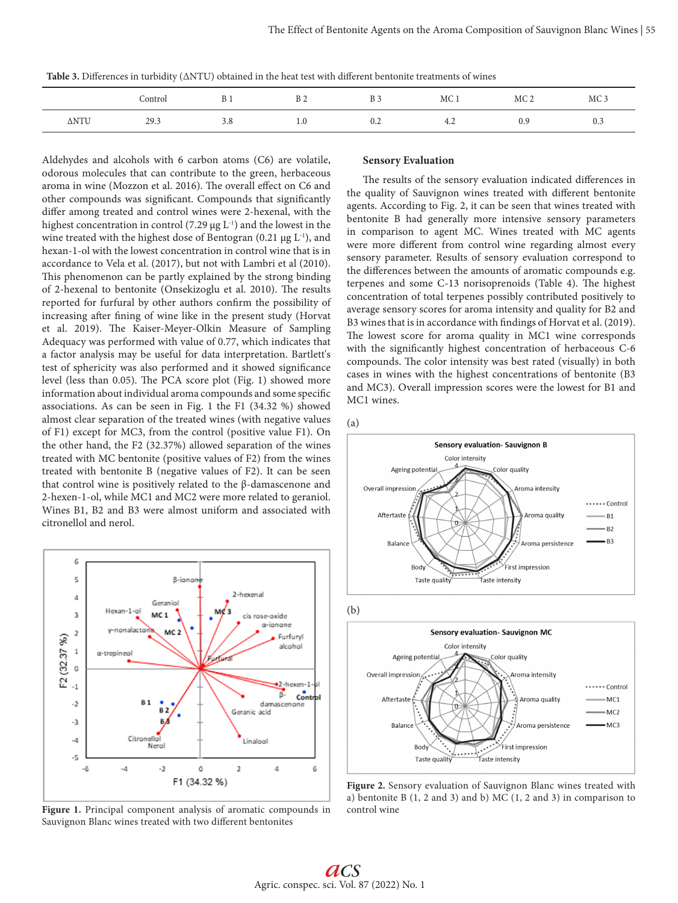**Table 3.** Differences in turbidity (ΔNTU) obtained in the heat test with different bentonite treatments of wines

|      | Control | <b>B</b> 1 | B <sub>2</sub> | <b>B</b> 3 | MC <sub>1</sub> | MC <sub>2</sub> | MC <sub>3</sub> |
|------|---------|------------|----------------|------------|-----------------|-----------------|-----------------|
| ΔNTU | 29.3    | 3.8        | 1.0            | U.Z        | 4.2             | 0.9             | 0.3             |

Aldehydes and alcohols with 6 carbon atoms (C6) are volatile, odorous molecules that can contribute to the green, herbaceous aroma in wine (Mozzon et al. 2016). The overall effect on C6 and other compounds was significant. Compounds that significantly differ among treated and control wines were 2-hexenal, with the highest concentration in control (7.29  $\mu$ g L<sup>-1</sup>) and the lowest in the wine treated with the highest dose of Bentogran (0.21  $\mu$ g L<sup>-1</sup>), and hexan-1-ol with the lowest concentration in control wine that is in accordance to Vela et al. (2017), but not with Lambri et al (2010). This phenomenon can be partly explained by the strong binding of 2-hexenal to bentonite (Onsekizoglu et al. 2010). The results reported for furfural by other authors confirm the possibility of increasing after fining of wine like in the present study (Horvat et al. 2019). The Kaiser-Meyer-Olkin Measure of Sampling Adequacy was performed with value of 0.77, which indicates that a factor analysis may be useful for data interpretation. Bartlett's test of sphericity was also performed and it showed significance level (less than 0.05). The PCA score plot (Fig. 1) showed more information about individual aroma compounds and some specific associations. As can be seen in Fig. 1 the F1 (34.32 %) showed almost clear separation of the treated wines (with negative values of F1) except for MC3, from the control (positive value F1). On the other hand, the F2 (32.37%) allowed separation of the wines treated with MC bentonite (positive values of F2) from the wines treated with bentonite B (negative values of F2). It can be seen that control wine is positively related to the β-damascenone and 2-hexen-1-ol, while MC1 and MC2 were more related to geraniol. Wines B1, B2 and B3 were almost uniform and associated with citronellol and nerol.



**Figure 1.** Principal component analysis of aromatic compounds in Sauvignon Blanc wines treated with two different bentonites

## **Sensory Evaluation**

The results of the sensory evaluation indicated differences in the quality of Sauvignon wines treated with different bentonite agents. According to Fig. 2, it can be seen that wines treated with bentonite B had generally more intensive sensory parameters in comparison to agent MC. Wines treated with MC agents were more different from control wine regarding almost every sensory parameter. Results of sensory evaluation correspond to the differences between the amounts of aromatic compounds e.g. terpenes and some C-13 norisoprenoids (Table 4). The highest concentration of total terpenes possibly contributed positively to average sensory scores for aroma intensity and quality for B2 and B3 wines that is in accordance with findings of Horvat et al. (2019). The lowest score for aroma quality in MC1 wine corresponds with the significantly highest concentration of herbaceous C-6 compounds. The color intensity was best rated (visually) in both cases in wines with the highest concentrations of bentonite (B3 and MC3). Overall impression scores were the lowest for B1 and MC1 wines.

(a)



**Figure 2.** Sensory evaluation of Sauvignon Blanc wines treated with a) bentonite B (1, 2 and 3) and b) MC (1, 2 and 3) in comparison to control wine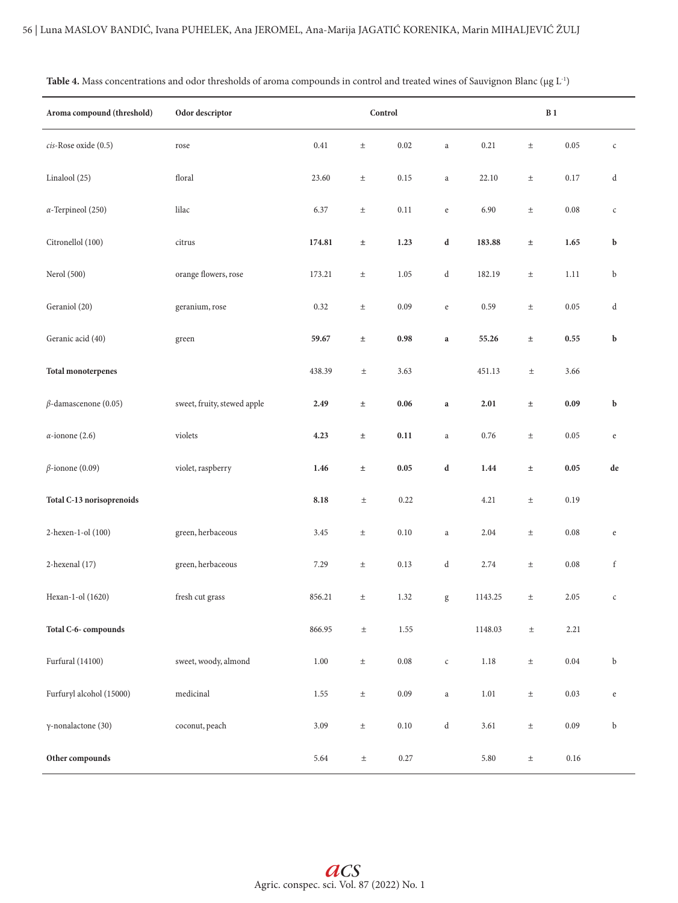| Aroma compound (threshold)  | Odor descriptor             | Control |       |          |                                                | B <sub>1</sub> |       |          |                                       |
|-----------------------------|-----------------------------|---------|-------|----------|------------------------------------------------|----------------|-------|----------|---------------------------------------|
| cis-Rose oxide (0.5)        | rose                        | 0.41    | $\pm$ | 0.02     | $\rm{a}$                                       | 0.21           | $\pm$ | 0.05     | $\mathsf{C}$                          |
| Linalool (25)               | floral                      | 23.60   | $\pm$ | 0.15     | $\rm{a}$                                       | 22.10          | $\pm$ | 0.17     | d                                     |
| $\alpha$ -Terpineol (250)   | lilac                       | 6.37    | $\pm$ | 0.11     | $\rm e$                                        | 6.90           | $\pm$ | 0.08     | $\mathsf{C}$                          |
| Citronellol (100)           | citrus                      | 174.81  | $\pm$ | 1.23     | d                                              | 183.88         | $\pm$ | 1.65     | b                                     |
| Nerol (500)                 | orange flowers, rose        | 173.21  | $\pm$ | 1.05     | d                                              | 182.19         | $\pm$ | 1.11     | b                                     |
| Geraniol (20)               | geranium, rose              | 0.32    | $\pm$ | 0.09     | $\rm e$                                        | 0.59           | $\pm$ | 0.05     | d                                     |
| Geranic acid (40)           | green                       | 59.67   | $\pm$ | 0.98     | $\bf a$                                        | 55.26          | $\pm$ | 0.55     | b                                     |
| <b>Total monoterpenes</b>   |                             | 438.39  | $\pm$ | 3.63     |                                                | 451.13         | $\pm$ | 3.66     |                                       |
| $\beta$ -damascenone (0.05) | sweet, fruity, stewed apple | 2.49    | $\pm$ | 0.06     | $\mathbf{a}$                                   | 2.01           | $\pm$ | 0.09     | b                                     |
| $\alpha$ -ionone (2.6)      | violets                     | 4.23    | $\pm$ | 0.11     | $\rm{a}$                                       | 0.76           | $\pm$ | 0.05     | $\rm e$                               |
| $\beta$ -ionone (0.09)      | violet, raspberry           | 1.46    | $\pm$ | 0.05     | d                                              | 1.44           | $\pm$ | 0.05     | de                                    |
| Total C-13 norisoprenoids   |                             | 8.18    | $\pm$ | 0.22     |                                                | 4.21           | $\pm$ | 0.19     |                                       |
| 2-hexen-1-ol (100)          | green, herbaceous           | 3.45    | $\pm$ | 0.10     | $\rm{a}$                                       | 2.04           | $\pm$ | 0.08     | $\mathbf{e}% _{t}\left( t_{0}\right)$ |
| 2-hexenal (17)              | green, herbaceous           | 7.29    | $\pm$ | 0.13     | $\mathrm{d}% \left\  \mathcal{H}\right\  _{A}$ | 2.74           | $\pm$ | 0.08     | f                                     |
| Hexan-1-ol (1620)           | fresh cut grass             | 856.21  | $\pm$ | 1.32     | g                                              | 1143.25        | $\pm$ | 2.05     | $\mathsf{C}$                          |
| Total C-6-compounds         |                             | 866.95  | $\pm$ | $1.55\,$ |                                                | 1148.03        | $\pm$ | 2.21     |                                       |
| <b>Furfural</b> (14100)     | sweet, woody, almond        | 1.00    | $\pm$ | $0.08\,$ | $\mathsf{C}$                                   | $1.18\,$       | $\pm$ | 0.04     | b                                     |
| Furfuryl alcohol (15000)    | medicinal                   | 1.55    | $\pm$ | $0.09\,$ | $\rm{a}$                                       | 1.01           | $\pm$ | 0.03     | $\rm e$                               |
| $\gamma$ -nonalactone (30)  | coconut, peach              | 3.09    | $\pm$ | $0.10\,$ | $\mathrm{d}% \left\  \mathcal{H}\right\  _{A}$ | 3.61           | $\pm$ | 0.09     | b                                     |
| Other compounds             |                             | 5.64    | $\pm$ | $0.27\,$ |                                                | 5.80           | $\pm$ | $0.16\,$ |                                       |

|  |  | Table 4. Mass concentrations and odor thresholds of aroma compounds in control and treated wines of Sauvignon Blanc ( $\mu$ g L <sup>-1</sup> ) |  |  |
|--|--|-------------------------------------------------------------------------------------------------------------------------------------------------|--|--|
|--|--|-------------------------------------------------------------------------------------------------------------------------------------------------|--|--|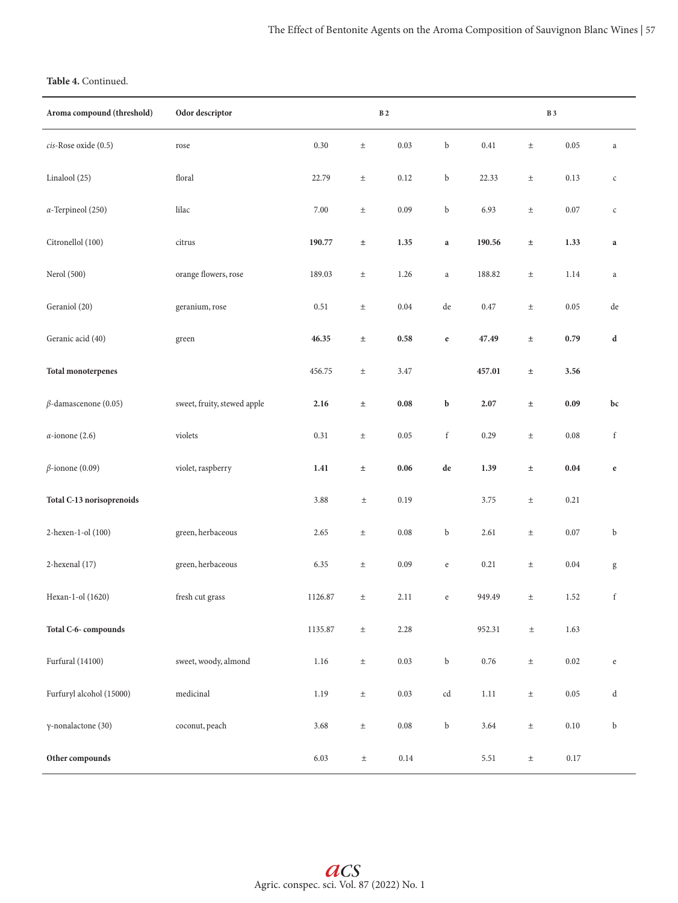# **Table 4.** Continued.

| Aroma compound (threshold)  | Odor descriptor             |         | $\, {\bf B}$ 2 |          |                                                                                |          |       | $\, {\bf B}$ 3 |              |
|-----------------------------|-----------------------------|---------|----------------|----------|--------------------------------------------------------------------------------|----------|-------|----------------|--------------|
| cis-Rose oxide (0.5)        | rose                        | 0.30    | $\pm$          | 0.03     | b                                                                              | 0.41     | $\pm$ | 0.05           | $\rm{a}$     |
| Linalool (25)               | floral                      | 22.79   | $\pm$          | 0.12     | b                                                                              | 22.33    | $\pm$ | 0.13           | $\mathsf{C}$ |
| $\alpha$ -Terpineol (250)   | lilac                       | 7.00    | $\pm$          | 0.09     | b                                                                              | 6.93     | $\pm$ | $0.07\,$       | $\mathsf{C}$ |
| Citronellol (100)           | citrus                      | 190.77  | $\pm$          | 1.35     | $\bf{a}$                                                                       | 190.56   | $\pm$ | 1.33           | $\bf{a}$     |
| Nerol (500)                 | orange flowers, rose        | 189.03  | $\pm$          | 1.26     | $\rm{a}$                                                                       | 188.82   | $\pm$ | 1.14           | a            |
| Geraniol (20)               | geranium, rose              | 0.51    | $\pm$          | 0.04     | de                                                                             | $0.47\,$ | $\pm$ | 0.05           | de           |
| Geranic acid (40)           | green                       | 46.35   | $\pm$          | 0.58     | $\mathbf e$                                                                    | 47.49    | $\pm$ | 0.79           | d            |
| <b>Total monoterpenes</b>   |                             | 456.75  | $\pm$          | 3.47     |                                                                                | 457.01   | $\pm$ | 3.56           |              |
| $\beta$ -damascenone (0.05) | sweet, fruity, stewed apple | 2.16    | $\pm$          | 0.08     | b                                                                              | 2.07     | $\pm$ | 0.09           | bc           |
| $\alpha$ -ionone (2.6)      | violets                     | 0.31    | $\pm$          | 0.05     | $\mathbf f$                                                                    | 0.29     | $\pm$ | 0.08           | f            |
| $\beta$ -ionone (0.09)      | violet, raspberry           | 1.41    | $\pm$          | 0.06     | de                                                                             | 1.39     | $\pm$ | 0.04           | $\mathbf{e}$ |
| Total C-13 norisoprenoids   |                             | 3.88    | $\pm$          | 0.19     |                                                                                | 3.75     | $\pm$ | 0.21           |              |
| 2-hexen-1-ol (100)          | green, herbaceous           | 2.65    | $\pm$          | $0.08\,$ | b                                                                              | 2.61     | $\pm$ | 0.07           | b            |
| 2-hexenal (17)              | green, herbaceous           | 6.35    | $\pm$          | 0.09     | $\mathbf{e}% _{B}=\mathbf{e}_{B}+\mathbf{e}_{B}+\mathbf{e}_{B}+\mathbf{e}_{B}$ | 0.21     | $\pm$ | $0.04\,$       | g            |
| Hexan-1-ol (1620)           | fresh cut grass             | 1126.87 | $\pm$          | 2.11     | e                                                                              | 949.49   | $\pm$ | 1.52           | $\mathbf f$  |
| Total C-6-compounds         |                             | 1135.87 | $\pm$          | 2.28     |                                                                                | 952.31   | $\pm$ | 1.63           |              |
| Furfural (14100)            | sweet, woody, almond        | 1.16    | $\pm$          | $0.03\,$ | b                                                                              | 0.76     | $\pm$ | 0.02           | $\rm e$      |
| Furfuryl alcohol (15000)    | medicinal                   | 1.19    | $\pm$          | $0.03\,$ | cd                                                                             | 1.11     | $\pm$ | 0.05           | d            |
| γ-nonalactone (30)          | coconut, peach              | 3.68    | $\pm$          | $0.08\,$ | b                                                                              | 3.64     | $\pm$ | 0.10           | b            |
| Other compounds             |                             | 6.03    | $\pm$          | 0.14     |                                                                                | 5.51     | $\pm$ | 0.17           |              |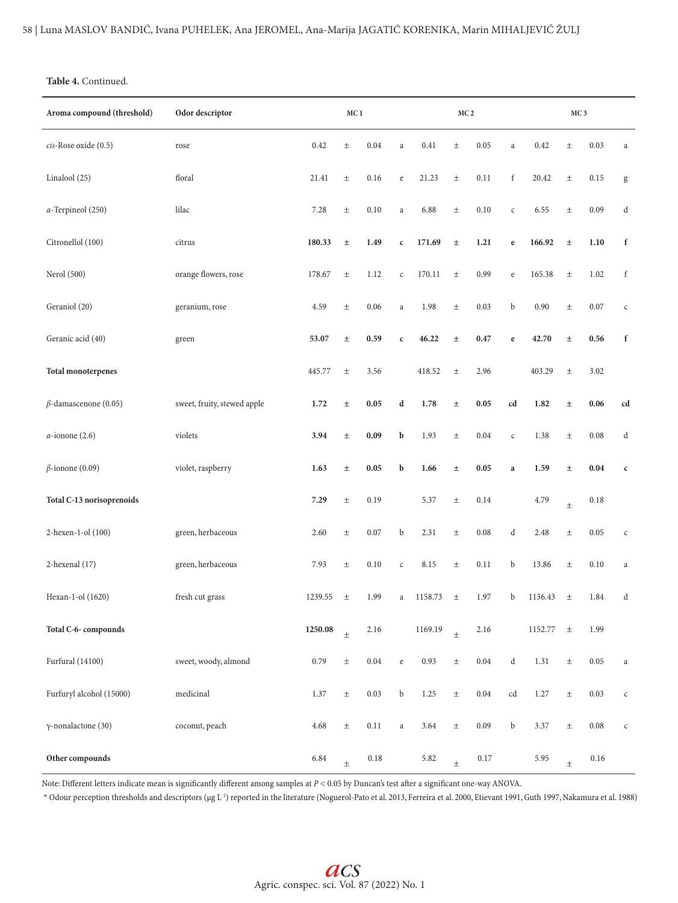## **Table 4.** Continued.

| Aroma compound (threshold)  | Odor descriptor             |         | MC <sub>1</sub> |            |              | MC <sub>2</sub> |       |      |              | MC <sub>3</sub> |       |          |              |
|-----------------------------|-----------------------------|---------|-----------------|------------|--------------|-----------------|-------|------|--------------|-----------------|-------|----------|--------------|
| cis-Rose oxide (0.5)        | rose                        | 0.42    | $_{\pm}$        | 0.04       | $\rm{a}$     | 0.41            | $\pm$ | 0.05 | $\mathbf{a}$ | 0.42            | $\pm$ | 0.03     | $\rm{a}$     |
| Linalool (25)               | floral                      | 21.41   | $\pm$           | 0.16       | $\rm e$      | 21.23           | $\pm$ | 0.11 | f            | 20.42           | $\pm$ | 0.15     | $\mathbf g$  |
| $\alpha$ -Terpineol (250)   | lilac                       | 7.28    | $\pm$           | 0.10       | $\mathbf{a}$ | 6.88            | $\pm$ | 0.10 | $\mathsf{C}$ | 6.55            | $\pm$ | 0.09     | d            |
| Citronellol (100)           | citrus                      | 180.33  | $\pm$           | 1.49       | $\mathbf c$  | 171.69          | $\pm$ | 1.21 | $\mathbf e$  | 166.92          | $\pm$ | 1.10     | f            |
| Nerol (500)                 | orange flowers, rose        | 178.67  | $\pm$           | 1.12       | $\mathsf{C}$ | 170.11          | $\pm$ | 0.99 | $\rm e$      | 165.38          | $\pm$ | 1.02     | $\mathbf f$  |
| Geraniol (20)               | geranium, rose              | 4.59    | $\pm$           | 0.06       | $\rm{a}$     | 1.98            | $\pm$ | 0.03 | b            | 0.90            | $\pm$ | $0.07\,$ | $\mathsf{C}$ |
| Geranic acid (40)           | green                       | 53.07   | $_{\pm}$        | 0.59       | $\mathbf c$  | 46.22           | $\pm$ | 0.47 | $\mathbf e$  | 42.70           | $\pm$ | 0.56     | $\mathbf f$  |
| <b>Total monoterpenes</b>   |                             | 445.77  | $\pm$           | 3.56       |              | 418.52          | $\pm$ | 2.96 |              | 403.29          | $\pm$ | 3.02     |              |
| $\beta$ -damascenone (0.05) | sweet, fruity, stewed apple | 1.72    | $_{\pm}$        | 0.05       | d            | 1.78            | $\pm$ | 0.05 | cd           | 1.82            | $\pm$ | 0.06     | cd           |
| $\alpha$ -ionone (2.6)      | violets                     | 3.94    | $\pm$           | 0.09       | b            | 1.93            | $\pm$ | 0.04 | $\mathsf{C}$ | 1.38            | $\pm$ | 0.08     | d            |
| $\beta$ -ionone (0.09)      | violet, raspberry           | 1.63    | $_{\pm}$        | 0.05       | b            | 1.66            | $\pm$ | 0.05 | $\mathbf{a}$ | 1.59            | $\pm$ | 0.04     | $\mathbf c$  |
| Total C-13 norisoprenoids   |                             | 7.29    | $\pm$           | 0.19       |              | 5.37            | $\pm$ | 0.14 |              | 4.79            | $\pm$ | 0.18     |              |
| 2-hexen-1-ol (100)          | green, herbaceous           | 2.60    | $\pm$           | $0.07\,$   | b            | 2.31            | $\pm$ | 0.08 | d            | 2.48            | $\pm$ | 0.05     | $\mathsf{C}$ |
| 2-hexenal (17)              | green, herbaceous           | 7.93    | $\pm$           | $0.10\,$   | $\mathsf{C}$ | 8.15            | $\pm$ | 0.11 | b            | 13.86           | $\pm$ | 0.10     | a            |
| Hexan-1-ol (1620)           | fresh cut grass             | 1239.55 | $\pm$           | 1.99       | a            | 1158.73         | $\pm$ | 1.97 | b            | 1136.43         | $\pm$ | 1.84     | d            |
| Total C-6-compounds         |                             | 1250.08 | $\pm$           | 2.16       |              | 1169.19         | $\pm$ | 2.16 |              | 1152.77         | $\pm$ | 1.99     |              |
| <b>Furfural</b> (14100)     | sweet, woody, almond        | 0.79    | $\pm$           | $\rm 0.04$ | $\rm e$      | 0.93            | $\pm$ | 0.04 | d            | 1.31            | $\pm$ | 0.05     | a            |
| Furfuryl alcohol (15000)    | medicinal                   | 1.37    | $\pm$           | 0.03       | b            | 1.25            | $\pm$ | 0.04 | cd           | 1.27            | $\pm$ | 0.03     | $\mathsf{C}$ |
| $\gamma$ -nonalactone (30)  | coconut, peach              | 4.68    | $\pm$           | 0.11       | $\rm{a}$     | 3.64            | $\pm$ | 0.09 | b            | 3.37            | $\pm$ | 0.08     | $\mathsf{C}$ |
| Other compounds             |                             | 6.84    | $\pm$           | 0.18       |              | 5.82            | $\pm$ | 0.17 |              | 5.95            | $\pm$ | 0.16     |              |

Note: Different letters indicate mean is significantly different among samples at *P* < 0.05 by Duncan's test after a significant one-way ANOVA.

\* Odour perception thresholds and descriptors (μg L-1) reported in the literature (Noguerol-Pato et al. 2013, Ferreira et al. 2000, Etievant 1991, Guth 1997, Nakamura et al. 1988)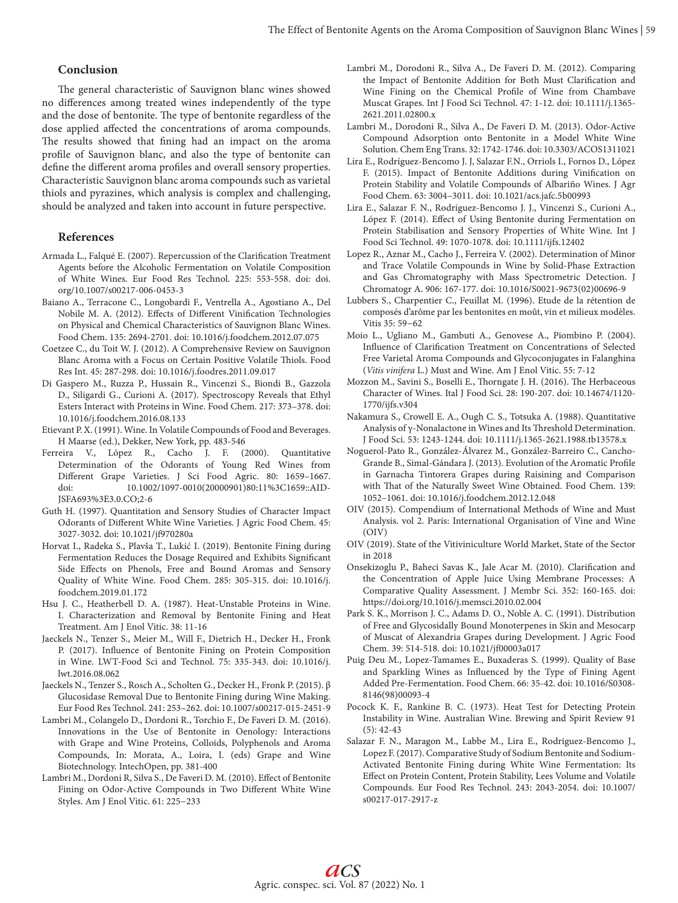# **Conclusion**

The general characteristic of Sauvignon blanc wines showed no differences among treated wines independently of the type and the dose of bentonite. The type of bentonite regardless of the dose applied affected the concentrations of aroma compounds. The results showed that fining had an impact on the aroma profile of Sauvignon blanc, and also the type of bentonite can define the different aroma profiles and overall sensory properties. Characteristic Sauvignon blanc aroma compounds such as varietal thiols and pyrazines, which analysis is complex and challenging, should be analyzed and taken into account in future perspective.

## **References**

- Armada L., Falqué E. (2007). Repercussion of the Clarification Treatment Agents before the Alcoholic Fermentation on Volatile Composition of White Wines. Eur Food Res Technol. 225: 553-558. doi: doi. org/10.1007/s00217-006-0453-3
- Baiano A., Terracone C., Longobardi F., Ventrella A., Agostiano A., Del Nobile M. A. (2012). Effects of Different Vinification Technologies on Physical and Chemical Characteristics of Sauvignon Blanc Wines. Food Chem. 135: 2694-2701. doi: 10.1016/j.foodchem.2012.07.075
- Coetzee C., du Toit W. J. (2012). A Comprehensive Review on Sauvignon Blanc Aroma with a Focus on Certain Positive Volatile Thiols. Food Res Int. 45: 287-298. doi: 10.1016/j.foodres.2011.09.017
- Di Gaspero M., Ruzza P., Hussain R., Vincenzi S., Biondi B., Gazzola D., Siligardi G., Curioni A. (2017). Spectroscopy Reveals that Ethyl Esters Interact with Proteins in Wine. Food Chem. 217: 373–378. doi: 10.1016/j.foodchem.2016.08.133
- Etievant P. X. (1991). Wine. In Volatile Compounds of Food and Beverages. H Maarse (ed.), Dekker, New York, pp. 483-546
- Ferreira V., López R., Cacho J. F. (2000). Quantitative Determination of the Odorants of Young Red Wines from Different Grape Varieties. J Sci Food Agric. 80: 1659–1667. doi: 10.1002/1097-0010(20000901)80:11%3C1659::AID-JSFA693%3E3.0.CO;2-6
- Guth H. (1997). Quantitation and Sensory Studies of Character Impact Odorants of Different White Wine Varieties. J Agric Food Chem. 45: 3027-3032. doi: 10.1021/jf970280a
- Horvat I., Radeka S., Plavša T., Lukić I. (2019). Bentonite Fining during Fermentation Reduces the Dosage Required and Exhibits Significant Side Effects on Phenols, Free and Bound Aromas and Sensory Quality of White Wine. Food Chem. 285: 305-315. doi: 10.1016/j. foodchem.2019.01.172
- Hsu J. C., Heatherbell D. A. (1987). Heat-Unstable Proteins in Wine. I. Characterization and Removal by Bentonite Fining and Heat Treatment. Am J Enol Vitic. 38: 11-16
- Jaeckels N., Tenzer S., Meier M., Will F., Dietrich H., Decker H., Fronk P. (2017). Influence of Bentonite Fining on Protein Composition in Wine. LWT-Food Sci and Technol. 75: 335-343. doi: 10.1016/j. lwt.2016.08.062
- Jaeckels N., Tenzer S., Rosch A., Scholten G., Decker H., Fronk P. (2015). β Glucosidase Removal Due to Bentonite Fining during Wine Making. Eur Food Res Technol. 241: 253–262. doi: 10.1007/s00217-015-2451-9
- Lambri M., Colangelo D., Dordoni R., Torchio F., De Faveri D. M. (2016). Innovations in the Use of Bentonite in Oenology: Interactions with Grape and Wine Proteins, Colloids, Polyphenols and Aroma Compounds, In: Morata, A., Loira, I. (eds) Grape and Wine Biotechnology. IntechOpen, pp. 381-400
- Lambri M., Dordoni R, Silva S., De Faveri D. M. (2010). Effect of Bentonite Fining on Odor-Active Compounds in Two Different White Wine Styles. Am J Enol Vitic. 61: 225−233
- Lambri M., Dorodoni R., Silva A., De Faveri D. M. (2012). Comparing the Impact of Bentonite Addition for Both Must Clarification and Wine Fining on the Chemical Profile of Wine from Chambave Muscat Grapes. Int J Food Sci Technol. 47: 1-12. doi: 10.1111/j.1365- 2621.2011.02800.x
- Lambri M., Dorodoni R., Silva A., De Faveri D. M. (2013). Odor-Active Compound Adsorption onto Bentonite in a Model White Wine Solution. Chem Eng Trans. 32: 1742-1746. doi: 10.3303/ACOS1311021
- Lira E., Rodríguez-Bencomo J. J, Salazar F.N., Orriols I., Fornos D., López F. (2015). Impact of Bentonite Additions during Vinification on Protein Stability and Volatile Compounds of Albariño Wines. J Agr Food Chem. 63: 3004–3011. doi: 10.1021/acs.jafc.5b00993
- Lira E., Salazar F. N., Rodriguez-Bencomo J. J., Vincenzi S., Curioni A., López F. (2014). Effect of Using Bentonite during Fermentation on Protein Stabilisation and Sensory Properties of White Wine. Int J Food Sci Technol. 49: 1070-1078. doi: 10.1111/ijfs.12402
- Lopez R., Aznar M., Cacho J., Ferreira V. (2002). Determination of Minor and Trace Volatile Compounds in Wine by Solid-Phase Extraction and Gas Chromatography with Mass Spectrometric Detection. J Chromatogr A. 906: 167-177. doi: 10.1016/S0021-9673(02)00696-9
- Lubbers S., Charpentier C., Feuillat M. (1996). Etude de la rétention de composés d'arôme par les bentonites en moût, vin et milieux modèles. Vitis 35: 59−62
- Moio L., Ugliano M., Gambuti A., Genovese A., Piombino P. (2004). Influence of Clarification Treatment on Concentrations of Selected Free Varietal Aroma Compounds and Glycoconjugates in Falanghina (*Vitis vinifera* L.) Must and Wine. Am J Enol Vitic. 55: 7-12
- Mozzon M., Savini S., Boselli E., Thorngate J. H. (2016). The Herbaceous Character of Wines. Ital J Food Sci. 28: 190-207. doi: 10.14674/1120- 1770/ijfs.v304
- Nakamura S., Crowell E. A., Ough C. S., Totsuka A. (1988). Quantitative Analysis of γ-Nonalactone in Wines and Its Threshold Determination. J Food Sci. 53: 1243-1244. doi: 10.1111/j.1365-2621.1988.tb13578.x
- Noguerol-Pato R., González-Álvarez M., González-Barreiro C., Cancho-Grande B., Simal-Gándara J. (2013). Evolution of the Aromatic Profile in Garnacha Tintorera Grapes during Raisining and Comparison with That of the Naturally Sweet Wine Obtained. Food Chem. 139: 1052–1061. doi: 10.1016/j.foodchem.2012.12.048
- OIV (2015). Compendium of International Methods of Wine and Must Analysis. vol 2. Paris: International Organisation of Vine and Wine (OIV)
- OIV (2019). State of the Vitiviniculture World Market, State of the Sector in 2018
- Onsekizoglu P., Baheci Savas K., Jale Acar M. (2010). Clarification and the Concentration of Apple Juice Using Membrane Processes: A Comparative Quality Assessment. J Membr Sci. 352: 160-165. doi: https://doi.org/10.1016/j.memsci.2010.02.004
- Park S. K., Morrison J. C., Adams D. O., Noble A. C. (1991). Distribution of Free and Glycosidally Bound Monoterpenes in Skin and Mesocarp of Muscat of Alexandria Grapes during Development. J Agric Food Chem. 39: 514-518. doi: 10.1021/jf00003a017
- Puig Deu M., Lopez-Tamames E., Buxaderas S. (1999). Quality of Base and Sparkling Wines as Influenced by the Type of Fining Agent Added Pre-Fermentation. Food Chem. 66: 35-42. doi: 10.1016/S0308- 8146(98)00093-4
- Pocock K. F., Rankine B. C. (1973). Heat Test for Detecting Protein Instability in Wine. Australian Wine. Brewing and Spirit Review 91 (5): 42-43
- Salazar F. N., Maragon M., Labbe M., Lira E., Rodriguez-Bencomo J., Lopez F. (2017). Comparative Study of Sodium Bentonite and Sodium-Activated Bentonite Fining during White Wine Fermentation: Its Effect on Protein Content, Protein Stability, Lees Volume and Volatile Compounds. Eur Food Res Technol. 243: 2043-2054. doi: 10.1007/ s00217-017-2917-z